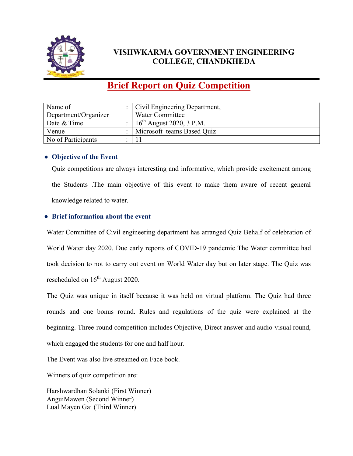

## VISHWKARMA GOVERNMENT ENGINEERING COLLEGE, CHANDKHEDA

# Brief Report on Quiz Competition

| Name of              | Civil Engineering Department, |
|----------------------|-------------------------------|
| Department/Organizer | Water Committee               |
| Date & Time          | $16^{th}$ August 2020, 3 P.M. |
| Venue                | Microsoft teams Based Quiz    |
| No of Participants   |                               |

### • Objective of the Event

Quiz competitions are always interesting and informative, which provide excitement among the Students .The main objective of this event to make them aware of recent general knowledge related to water.

### ● Brief information about the event

Water Committee of Civil engineering department has arranged Quiz Behalf of celebration of World Water day 2020. Due early reports of COVID-19 pandemic The Water committee had took decision to not to carry out event on World Water day but on later stage. The Quiz was rescheduled on  $16<sup>th</sup>$  August 2020.

The Quiz was unique in itself because it was held on virtual platform. The Quiz had three rounds and one bonus round. Rules and regulations of the quiz were explained at the beginning. Three-round competition includes Objective, Direct answer and audio-visual round, which engaged the students for one and half hour.

The Event was also live streamed on Face book.

Winners of quiz competition are:

Harshwardhan Solanki (First Winner) AnguiMawen (Second Winner) Lual Mayen Gai (Third Winner)